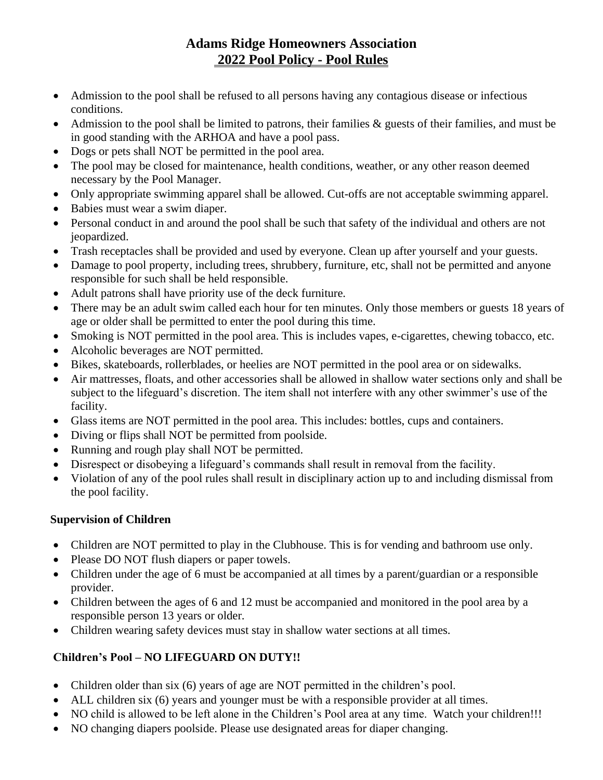# **Adams Ridge Homeowners Association 2022 Pool Policy - Pool Rules**

- Admission to the pool shall be refused to all persons having any contagious disease or infectious conditions.
- Admission to the pool shall be limited to patrons, their families & guests of their families, and must be in good standing with the ARHOA and have a pool pass.
- Dogs or pets shall NOT be permitted in the pool area.
- The pool may be closed for maintenance, health conditions, weather, or any other reason deemed necessary by the Pool Manager.
- Only appropriate swimming apparel shall be allowed. Cut-offs are not acceptable swimming apparel.
- Babies must wear a swim diaper.
- Personal conduct in and around the pool shall be such that safety of the individual and others are not jeopardized.
- Trash receptacles shall be provided and used by everyone. Clean up after yourself and your guests.
- Damage to pool property, including trees, shrubbery, furniture, etc, shall not be permitted and anyone responsible for such shall be held responsible.
- Adult patrons shall have priority use of the deck furniture.
- There may be an adult swim called each hour for ten minutes. Only those members or guests 18 years of age or older shall be permitted to enter the pool during this time.
- Smoking is NOT permitted in the pool area. This is includes vapes, e-cigarettes, chewing tobacco, etc.
- Alcoholic beverages are NOT permitted.
- Bikes, skateboards, rollerblades, or heelies are NOT permitted in the pool area or on sidewalks.
- Air mattresses, floats, and other accessories shall be allowed in shallow water sections only and shall be subject to the lifeguard's discretion. The item shall not interfere with any other swimmer's use of the facility.
- Glass items are NOT permitted in the pool area. This includes: bottles, cups and containers.
- Diving or flips shall NOT be permitted from poolside.
- Running and rough play shall NOT be permitted.
- Disrespect or disobeying a lifeguard's commands shall result in removal from the facility.
- Violation of any of the pool rules shall result in disciplinary action up to and including dismissal from the pool facility.

#### **Supervision of Children**

- Children are NOT permitted to play in the Clubhouse. This is for vending and bathroom use only.
- Please DO NOT flush diapers or paper towels.
- Children under the age of 6 must be accompanied at all times by a parent/guardian or a responsible provider.
- Children between the ages of 6 and 12 must be accompanied and monitored in the pool area by a responsible person 13 years or older.
- Children wearing safety devices must stay in shallow water sections at all times.

# **Children's Pool – NO LIFEGUARD ON DUTY!!**

- Children older than six (6) years of age are NOT permitted in the children's pool.
- ALL children six (6) years and younger must be with a responsible provider at all times.
- NO child is allowed to be left alone in the Children's Pool area at any time. Watch your children!!!
- NO changing diapers poolside. Please use designated areas for diaper changing.